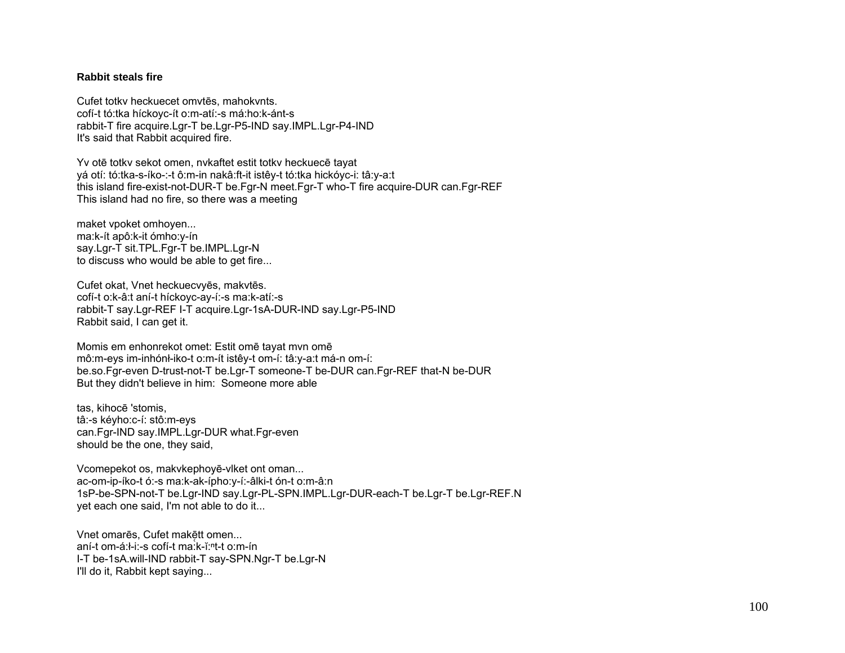## **Rabbit steals fire**

Cufet totkv heckuecet omvtēs, mahokvnts. cofí-t tó:tka híckoyc-ít o:m-atí:-s má:ho:k-ánt-s rabbit-T fire acquire.Lgr-T be.Lgr-P5-IND say.IMPL.Lgr-P4-IND It's said that Rabbit acquired fire.

Yv otē totkv sekot omen, nvkaftet estit totkv heckuecē tayat yá otí: tó:tka-s-íko-:-t ô:m-in nakâ:ft-it istêy-t tó:tka hickóyc-i: tâ:y-a:t this island fire-exist-not-DUR-T be.Fgr-N meet.Fgr-T who-T fire acquire-DUR can.Fgr-REF This island had no fire, so there was a meeting

maket vpoket omhoyen... ma:k-ít apô:k-it ómho:y-ín say.Lgr-T sit.TPL.Fgr-T be.IMPL.Lgr-N to discuss who would be able to get fire...

Cufet okat, Vnet heckuecvyēs, makvtēs. cofí-t o:k-â:t aní-t híckoyc-ay-í:-s ma:k-atí:-s rabbit-T say.Lgr-REF I-T acquire.Lgr-1sA-DUR-IND say.Lgr-P5-IND Rabbit said, I can get it.

Momis em enhonrekot omet: Estit omē tayat mvn omē mô:m-eys im-inhónł-iko-t o:m-ít istêy-t om-í: tâ:y-a:t má-n om-í: be.so.Fgr-even D-trust-not-T be.Lgr-T someone-T be-DUR can.Fgr-REF that-N be-DUR But they didn't believe in him: Someone more able

tas, kihocē 'stomis, tâ:-s kéyho:c-í: stô:m-eys can.Fgr-IND say.IMPL.Lgr-DUR what.Fgr-even should be the one, they said,

Vcomepekot os, makvkephoyē-vlket ont oman... ac-om-ip-íko-t ó:-s ma:k-ak-ípho:y-í:-âlki-t ón-t o:m-â:n 1sP-be-SPN-not-T be.Lgr-IND say.Lgr-PL-SPN.IMPL.Lgr-DUR-each-T be.Lgr-T be.Lgr-REF.N yet each one said, I'm not able to do it...

Vnet omarēs, Cufet makētt omen... aní-t om-á:ł-i:-s cofí-t ma:k-ĭ:ʰt-t o:m-ín I-T be-1sA.will-IND rabbit-T say-SPN.Ngr-T be.Lgr-N I'll do it, Rabbit kept saying...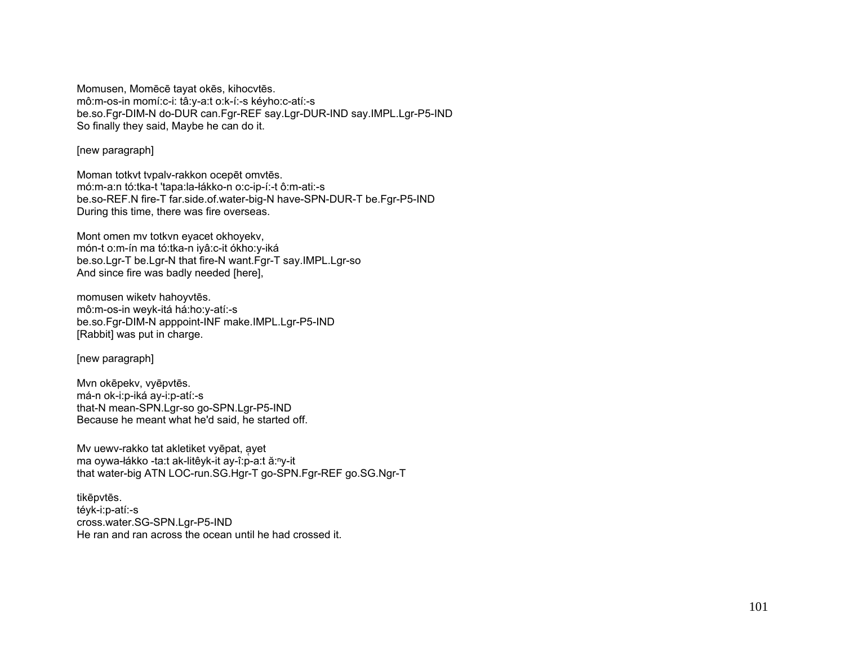Momusen, Momēcē tayat okēs, kihocvtēs. mô:m-os-in momí:c-i: tâ:y-a:t o:k-í:-s kéyho:c-atí:-s be.so.Fgr-DIM-N do-DUR can.Fgr-REF say.Lgr-DUR-IND say.IMPL.Lgr-P5-IND So finally they said, Maybe he can do it.

[new paragraph]

Moman totkvt tvpalv-rakkon ocepēt omvtēs. mó:m-a:n tó:tka-t 'tapa:la-łákko-n o:c-ip-í:-t ô:m-ati:-s be.so-REF.N fire-T far.side.of.water-big-N have-SPN-DUR-T be.Fgr-P5-IND During this time, there was fire overseas.

Mont omen mv totkvn eyacet okhoyekv, món-t o:m-ín ma tó:tka-n iyâ:c-it ókho:y-iká be.so.Lgr-T be.Lgr-N that fire-N want.Fgr-T say.IMPL.Lgr-so And since fire was badly needed [here],

momusen wiketv hahoyvtēs. mô:m-os-in weyk-itá há:ho:y-atí:-s be.so.Fgr-DIM-N apppoint-INF make.IMPL.Lgr-P5-IND [Rabbit] was put in charge.

[new paragraph]

Mvn okēpekv, vyēpvtēs. má-n ok-i:p-iká ay-i:p-atí:-s that-N mean-SPN.Lgr-so go-SPN.Lgr-P5-IND Because he meant what he'd said, he started off.

My uewy-rakko tat akletiket vyēpat, ayet ma oywa-łákko -ta:t ak-litêyk-it ay-î:p-a:t ă:<sup>n</sup>y-it that water-big ATN LOC-run.SG.Hgr-T go-SPN.Fgr-REF go.SG.Ngr-T

tikēpvtēs. téyk-i:p-atí:-s cross.water.SG-SPN.Lgr-P5-IND He ran and ran across the ocean until he had crossed it.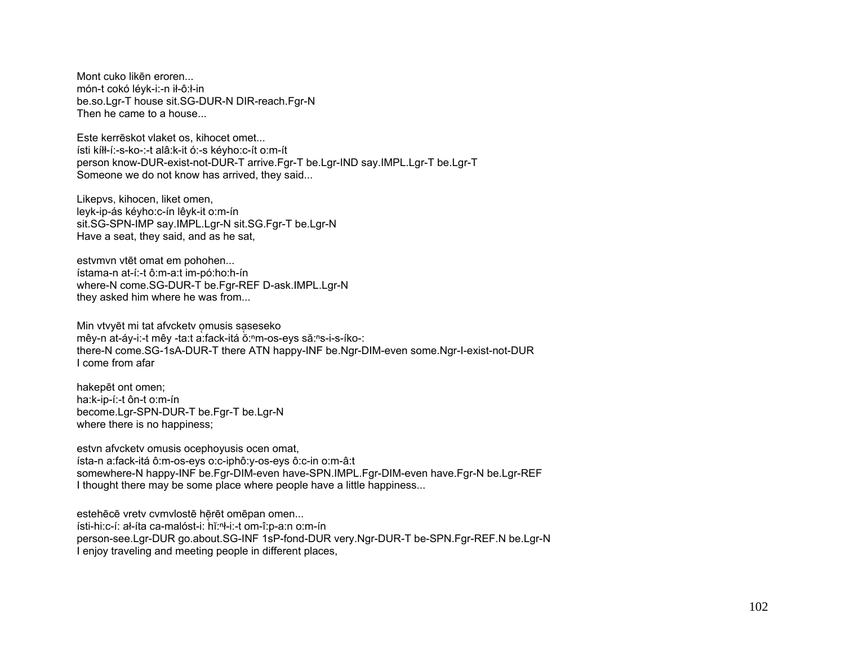Mont cuko likēn eroren... món-t cokó léyk-i:-n ił-ô:ł-in be.so.Lgr-T house sit.SG-DUR-N DIR-reach.Fgr-N Then he came to a house...

Este kerreskot vlaket os, kihocet omet... ísti kíłł-í:-s-ko-:-t alâ:k-it ó:-s kéyho:c-ít o:m-ít person know-DUR-exist-not-DUR-T arrive.Fgr-T be.Lgr-IND say.IMPL.Lgr-T be.Lgr-T Someone we do not know has arrived, they said...

Likepvs, kihocen, liket omen, leyk-ip-ás kéyho:c-ín lêyk-it o:m-ín sit.SG-SPN-IMP say.IMPL.Lgr-N sit.SG.Fgr-T be.Lgr-N Have a seat, they said, and as he sat,

estvmvn vtēt omat em pohohen... ístama-n at-í:-t ô:m-a:t im-pó:ho:h-ín where-N come.SG-DUR-T be.Fgr-REF D-ask.IMPL.Lgr-N they asked him where he was from...

Min vtvyēt mi tat afvcketv omusis saseseko mêy-n at-áy-i:-t mêy -ta:t a:fack-itá ŏ:<sup>n</sup>m-os-eys să:ns-i-s-íko-: there-N come.SG-1sA-DUR-T there ATN happy-INF be.Ngr-DIM-even some.Ngr-I-exist-not-DUR Lcome from afar

hakepet ont omen; ha:k-ip-í:-t ôn-t o:m-ín become.Lgr-SPN-DUR-T be.Fgr-T be.Lgr-N where there is no happiness;

estvn afvcketv omusis ocephoyusis ocen omat, ísta-n a:fack-itá ô:m-os-eys o:c-iphô:y-os-eys ô:c-in o:m-â:t somewhere-N happy-INF be.Fgr-DIM-even have-SPN.IMPL.Fgr-DIM-even have.Fgr-N be.Lgr-REF I thought there may be some place where people have a little happiness...

estehēcē vretv cvmvlostē hērēt omēpan omen... ísti-hi:c-í: al-íta ca-malóst-i: hǐ:<sup>n</sup>l-i:-t om-î:p-a:n o:m-ín person-see.Lgr-DUR go.about.SG-INF 1sP-fond-DUR very.Ngr-DUR-T be-SPN.Fgr-REF.N be.Lgr-N I enjoy traveling and meeting people in different places.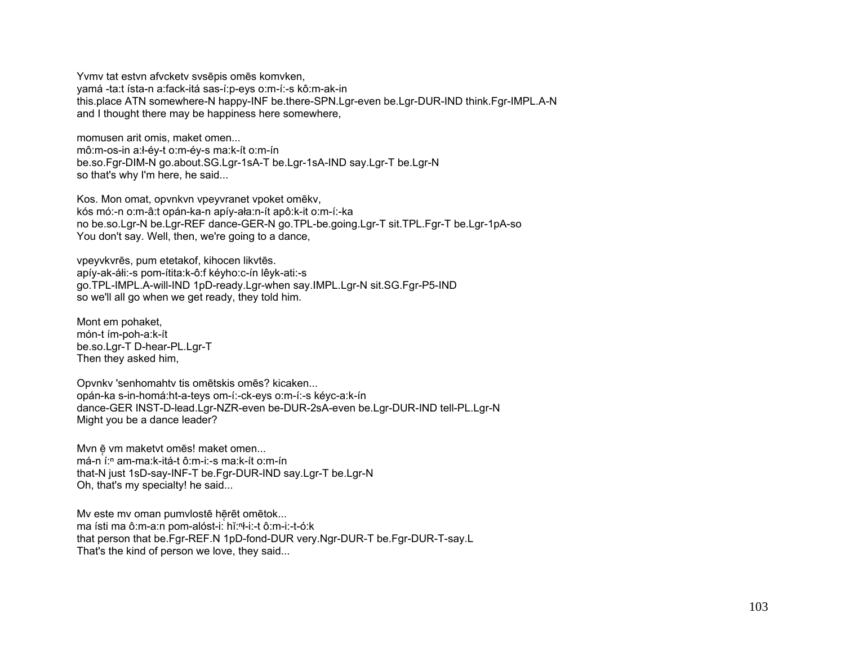Yvmy tat estyn afyckety sysēpis omēs komyken, yamá -ta:t ísta-n a:fack-itá sas-í:p-eys o:m-í:-s kô:m-ak-in this.place ATN somewhere-N happy-INF be.there-SPN.Lgr-even be.Lgr-DUR-IND think.Fgr-IMPL.A-N and I thought there may be happiness here somewhere,

momusen arit omis. maket omen...

mô:m-os-in a:l-év-t o:m-év-s ma:k-ít o:m-ín be.so.Fgr-DIM-N go.about.SG.Lgr-1sA-T be.Lgr-1sA-IND say.Lgr-T be.Lgr-N so that's why I'm here, he said...

Kos. Mon omat, opvnkyn vpeyvranet vpoket omēky, kós mó:-n o:m-â:t opán-ka-n apíy-ała:n-ít apô:k-it o:m-í:-ka no be.so.Lgr-N be.Lgr-REF dance-GER-N go.TPL-be.going.Lgr-T sit.TPL.Fgr-T be.Lgr-1pA-so You don't say. Well, then, we're going to a dance,

vpeyvkvrēs, pum etetakof, kihocen likvtēs. apíy-ak-áli:-s pom-ítita:k-ô:f kéyho:c-ín lêyk-ati:-s go.TPL-IMPL.A-will-IND 1pD-ready.Lgr-when say.IMPL.Lgr-N sit.SG.Fgr-P5-IND so we'll all go when we get ready, they told him.

Mont em pohaket. món-t ím-poh-a:k-ít be.so.Lgr-T D-hear-PL.Lgr-T Then they asked him,

Opvnkv 'senhomahtv tis omētskis omēs? kicaken... opán-ka s-in-homá:ht-a-teys om-í:-ck-eys o:m-í:-s kéyc-a:k-ín dance-GER INST-D-lead.Lgr-NZR-even be-DUR-2sA-even be.Lgr-DUR-IND tell-PL.Lgr-N Might you be a dance leader?

Mvn ē vm maketvt omēs! maket omen... má-n í:<sup>n</sup> am-ma:k-itá-t ô:m-i:-s ma:k-ít o:m-ín that-N just 1sD-say-INF-T be.Fgr-DUR-IND say.Lgr-T be.Lgr-N Oh, that's my specialty! he said...

My este my oman pumylostē hērēt omētok... ma ísti ma ô:m-a:n pom-alóst-i: hǐ:n-i:-t ô:m-i:-t-ó:k that person that be.Fgr-REF.N 1pD-fond-DUR very.Ngr-DUR-T be.Fgr-DUR-T-say.L That's the kind of person we love, they said...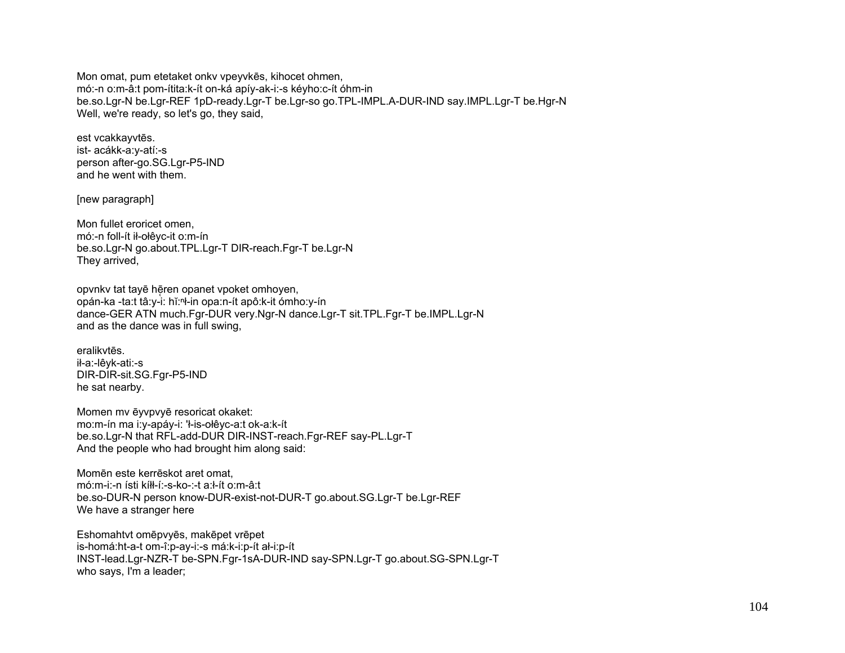Mon omat, pum etetaket onky vpeyvkes, kihocet ohmen, mó:-n o:m-â:t pom-ítita:k-ít on-ká apíy-ak-i:-s kéyho:c-ít óhm-in be.so.Lgr-N be.Lgr-REF 1pD-ready.Lgr-T be.Lgr-so go.TPL-IMPL.A-DUR-IND say.IMPL.Lgr-T be.Hgr-N Well, we're ready, so let's go, they said,

est vcakkayvtēs. ist- acákk-a:y-atí:-s person after-go.SG.Lgr-P5-IND and he went with them.

[new paragraph]

Mon fullet eroricet omen, mó:-n foll-ít ił-ołêyc-it o:m-ín be.so.Lgr-N go.about.TPL.Lgr-T DIR-reach.Fgr-T be.Lgr-N They arrived,

opvnky tat tayē hēren opanet vpoket omhoven, opán-ka -ta:t tâ:v-i: hǐ:<sup>n</sup>ł-in opa:n-ít apô:k-it ómho:v-ín dance-GER ATN much.Fgr-DUR very.Ngr-N dance.Lgr-T sit.TPL.Fgr-T be.IMPL.Lgr-N and as the dance was in full swing.

eralikytes. ił-a:-lêvk-ati:-s DIR-DIR-sit.SG.Fgr-P5-IND he sat nearby.

Momen my evypyve resoricat okaket: mo:m-ín ma i:y-apáy-i: 'l-is-olêyc-a:t ok-a:k-ít be.so.Lgr-N that RFL-add-DUR DIR-INST-reach.Fgr-REF say-PL.Lgr-T And the people who had brought him along said:

Momēn este kerrēskot aret omat. mó:m-i:-n ísti kíłł-í:-s-ko-:-t a:ł-ít o:m-â:t be.so-DUR-N person know-DUR-exist-not-DUR-T go.about.SG.Lgr-T be.Lgr-REF We have a stranger here

Eshomahtyt omēpvyēs, makēpet vrēpet is-homá:ht-a-t om-î:p-ay-i:-s má:k-i:p-ít al-i:p-ít INST-lead.Lgr-NZR-T be-SPN.Fgr-1sA-DUR-IND say-SPN.Lgr-T go.about.SG-SPN.Lgr-T who says, I'm a leader;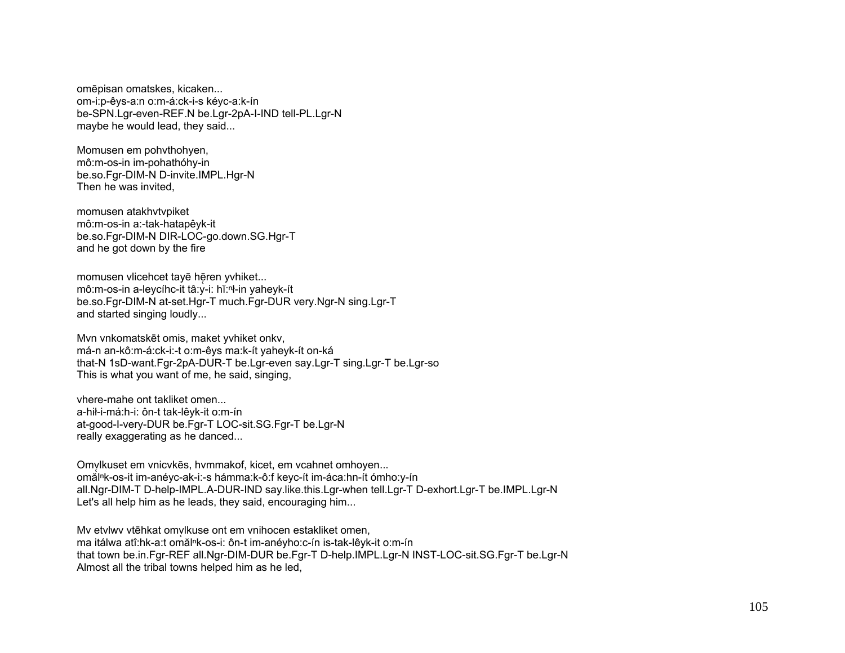omēpisan omatskes, kicaken... om-i:p-êvs-a:n o:m-á:ck-i-s kévc-a:k-ín be-SPN.Lgr-even-REF.N be.Lgr-2pA-I-IND tell-PL.Lgr-N maybe he would lead, they said...

Momusen em pohythohyen, mô:m-os-in im-pohathóhy-in be.so.Fqr-DIM-N D-invite.IMPL.Hqr-N Then he was invited.

momusen atakhytypiket mô:m-os-in a:-tak-hatapêyk-it be.so.Fgr-DIM-N DIR-LOC-go.down.SG.Hgr-T and he got down by the fire

momusen vlicehcet tayē hēren yvhiket... mô:m-os-in a-levcíhc-it tâ:y-i: hǐ:n-in yaheyk-ít be.so.Fgr-DIM-N at-set.Hgr-T much.Fgr-DUR very.Ngr-N sing.Lgr-T and started singing loudly...

Mvn vnkomatskēt omis, maket yvhiket onkv, má-n an-kô:m-á:ck-i:-t o:m-êys ma:k-ít yaheyk-ít on-ká that-N 1sD-want.Fgr-2pA-DUR-T be.Lgr-even say.Lgr-T sing.Lgr-T be.Lgr-so This is what you want of me, he said, singing,

vhere-mahe ont takliket omen a-hił-i-má:h-i: ôn-t tak-lêvk-it o:m-ín at-good-I-very-DUR be.Fgr-T LOC-sit.SG.Fgr-T be.Lgr-N really exaggerating as he danced...

Omvlkuset em vnicvkēs, hvmmakof, kicet, em vcahnet omhoven... omålnk-os-it im-anéyc-ak-i:-s hámma:k-ô:f keyc-ít im-áca:hn-ít ómho:y-ín all.Ngr-DIM-T D-help-IMPL.A-DUR-IND say.like.this.Lgr-when tell.Lgr-T D-exhort.Lgr-T be.IMPL.Lgr-N Let's all help him as he leads, they said, encouraging him...

My etylwy ytehkat omylkuse ont em ynihocen estakliket omen, ma itálwa atî:hk-a:t omăl<sup>n</sup>k-os-i: ôn-t im-anéyho:c-ín is-tak-lêyk-it o:m-ín that town be.in.Fgr-REF all.Ngr-DIM-DUR be.Fgr-T D-help.IMPL.Lgr-N INST-LOC-sit.SG.Fgr-T be.Lgr-N Almost all the tribal towns helped him as he led,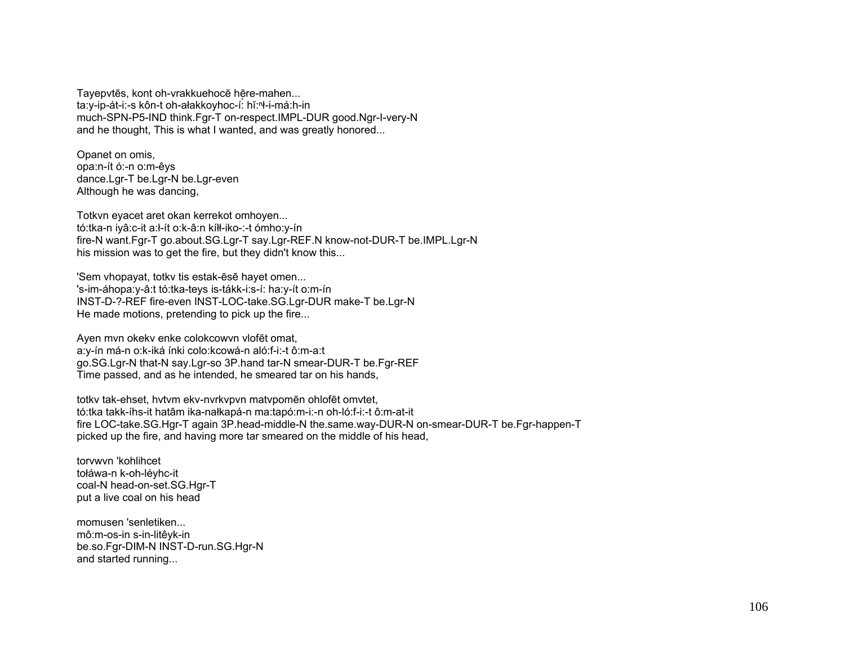Tavepytēs, kont oh-vrakkuehocē hēre-mahen... ta:y-ip-át-i:-s kôn-t oh-ałakkoyhoc-í: hǐ:<sup>n</sup>ł-i-má:h-in much-SPN-P5-IND think.Fgr-T on-respect.IMPL-DUR good.Ngr-I-very-N and he thought. This is what I wanted, and was greatly honored...

Opanet on omis, opa:n-ít ó:-n o:m-êys dance.Lgr-T be.Lgr-N be.Lgr-even Although he was dancing,

Totkyn eyacet aret okan kerrekot omhoyen... tó:tka-n iyâ:c-it a:ł-ít o:k-â:n kíłł-iko-:-t ómho:y-ín fire-N want.Fgr-T go.about.SG.Lgr-T say.Lgr-REF.N know-not-DUR-T be.IMPL.Lgr-N his mission was to get the fire, but they didn't know this...

'Sem vhopayat, totky tis estak-ēsē hayet omen... 's-im-áhopa: y-â:t tó: tka-teys is-tákk-i: s-í: ha: y-ít o: m-ín INST-D-?-REF fire-even INST-LOC-take.SG.Lgr-DUR make-T be.Lgr-N He made motions, pretending to pick up the fire...

Ayen mvn okeky enke colokcowyn vlofēt omat, a:y-ín má-n o:k-iká ínki colo:kcowá-n aló:f-i:-t ô:m-a:t go.SG.Lgr-N that-N say.Lgr-so 3P.hand tar-N smear-DUR-T be.Fgr-REF Time passed, and as he intended, he smeared tar on his hands,

totky tak-ehset, hytym eky-nyrkypyn matypomen ohlofet omytet, tó:tka takk-íhs-it hatâm ika-nałkapá-n ma:tapó:m-i:-n oh-ló:f-i:-t ô:m-at-it fire LOC-take.SG.Hgr-T again 3P.head-middle-N the.same.way-DUR-N on-smear-DUR-T be.Fgr-happen-T picked up the fire, and having more tar smeared on the middle of his head,

torvwyn 'kohlihcet tołáwa-n k-oh-léyhc-it coal-N head-on-set.SG.Hgr-T put a live coal on his head

momusen 'senletiken... mô:m-os-in s-in-litêvk-in be.so.Fqr-DIM-N INST-D-run.SG.Hqr-N and started running...